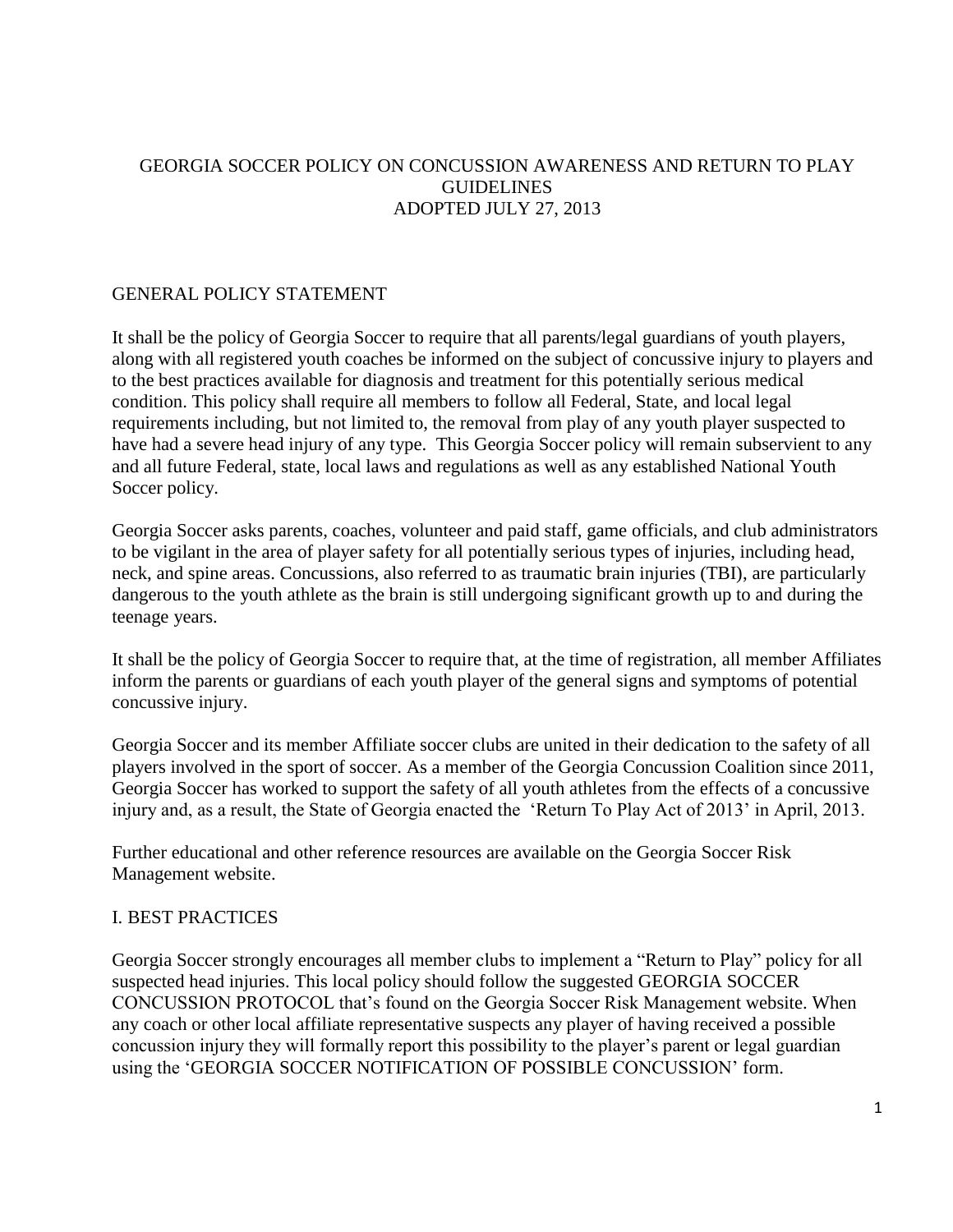## GEORGIA SOCCER POLICY ON CONCUSSION AWARENESS AND RETURN TO PLAY GUIDELINES ADOPTED JULY 27, 2013

## GENERAL POLICY STATEMENT

It shall be the policy of Georgia Soccer to require that all parents/legal guardians of youth players, along with all registered youth coaches be informed on the subject of concussive injury to players and to the best practices available for diagnosis and treatment for this potentially serious medical condition. This policy shall require all members to follow all Federal, State, and local legal requirements including, but not limited to, the removal from play of any youth player suspected to have had a severe head injury of any type. This Georgia Soccer policy will remain subservient to any and all future Federal, state, local laws and regulations as well as any established National Youth Soccer policy.

Georgia Soccer asks parents, coaches, volunteer and paid staff, game officials, and club administrators to be vigilant in the area of player safety for all potentially serious types of injuries, including head, neck, and spine areas. Concussions, also referred to as traumatic brain injuries (TBI), are particularly dangerous to the youth athlete as the brain is still undergoing significant growth up to and during the teenage years.

It shall be the policy of Georgia Soccer to require that, at the time of registration, all member Affiliates inform the parents or guardians of each youth player of the general signs and symptoms of potential concussive injury.

Georgia Soccer and its member Affiliate soccer clubs are united in their dedication to the safety of all players involved in the sport of soccer. As a member of the Georgia Concussion Coalition since 2011, Georgia Soccer has worked to support the safety of all youth athletes from the effects of a concussive injury and, as a result, the State of Georgia enacted the 'Return To Play Act of 2013' in April, 2013.

Further educational and other reference resources are available on the Georgia Soccer Risk Management website.

## I. BEST PRACTICES

Georgia Soccer strongly encourages all member clubs to implement a "Return to Play" policy for all suspected head injuries. This local policy should follow the suggested GEORGIA SOCCER CONCUSSION PROTOCOL that's found on the Georgia Soccer Risk Management website. When any coach or other local affiliate representative suspects any player of having received a possible concussion injury they will formally report this possibility to the player's parent or legal guardian using the 'GEORGIA SOCCER NOTIFICATION OF POSSIBLE CONCUSSION' form.